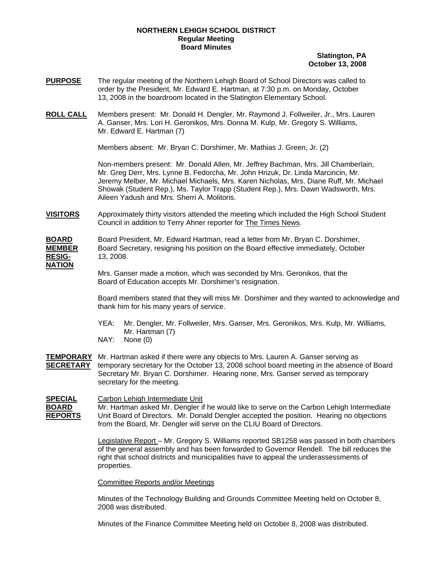## **NORTHERN LEHIGH SCHOOL DISTRICT Regular Meeting Board Minutes**

## **Slatington, PA October 13, 2008**

- **PURPOSE** The regular meeting of the Northern Lehigh Board of School Directors was called to order by the President, Mr. Edward E. Hartman, at 7:30 p.m. on Monday, October 13, 2008 in the boardroom located in the Slatington Elementary School.
- **ROLL CALL** Members present: Mr. Donald H. Dengler, Mr. Raymond J. Follweiler, Jr., Mrs. Lauren A. Ganser, Mrs. Lori H. Geronikos, Mrs. Donna M. Kulp, Mr. Gregory S. Williams, Mr. Edward E. Hartman (7)

Members absent: Mr. Bryan C. Dorshimer, Mr. Mathias J. Green, Jr. (2)

Non-members present: Mr. Donald Allen, Mr. Jeffrey Bachman, Mrs. Jill Chamberlain, Mr. Greg Derr, Mrs. Lynne B. Fedorcha, Mr. John Hrizuk, Dr. Linda Marcincin, Mr. Jeremy Melber, Mr. Michael Michaels, Mrs. Karen Nicholas, Mrs. Diane Ruff, Mr. Michael Showak (Student Rep.), Ms. Taylor Trapp (Student Rep.), Mrs. Dawn Wadsworth, Mrs. Aileen Yadush and Mrs. Sherri A. Molitoris.

**VISITORS** Approximately thirty visitors attended the meeting which included the High School Student Council in addition to Terry Ahner reporter for The Times News.

**BOARD** Board President, Mr. Edward Hartman, read a letter from Mr. Bryan C. Dorshimer, **MEMBER** Board Secretary, resigning his position on the Board effective immediately, October **RESIG-** 13, 2008. **RESIG-** 13, 2008. **NATION**

> Mrs. Ganser made a motion, which was seconded by Mrs. Geronikos, that the Board of Education accepts Mr. Dorshimer's resignation.

 Board members stated that they will miss Mr. Dorshimer and they wanted to acknowledge and thank him for his many years of service.

- YEA: Mr. Dengler, Mr. Follweiler, Mrs. Ganser, Mrs. Geronikos, Mrs. Kulp, Mr. Williams, Mr. Hartman (7)
- NAY: None (0)

**TEMPORARY** Mr. Hartman asked if there were any objects to Mrs. Lauren A. Ganser serving as **SECRETARY** temporary secretary for the October 13, 2008 school board meeting in the absence of Board Secretary Mr. Bryan C. Dorshimer. Hearing none, Mrs. Ganser served as temporary secretary for the meeting.

**SPECIAL** Carbon Lehigh Intermediate Unit **BOARD** Mr. Hartman asked Mr. Dengler if he would like to serve on the Carbon Lehigh Intermediate **REPORTS** Unit Board of Directors. Mr. Donald Dengler accepted the position. Hearing no objections from the Board, Mr. Dengler will serve on the CLIU Board of Directors.

> Legislative Report – Mr. Gregory S. Williams reported SB1258 was passed in both chambers of the general assembly and has been forwarded to Governor Rendell. The bill reduces the right that school districts and municipalities have to appeal the underassessments of properties.

Committee Reports and/or Meetings

Minutes of the Technology Building and Grounds Committee Meeting held on October 8, 2008 was distributed.

Minutes of the Finance Committee Meeting held on October 8, 2008 was distributed.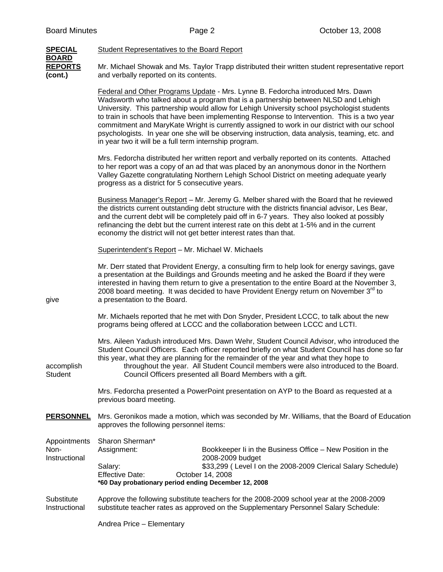| <b>SPECIAL</b><br><b>BOARD</b>        | <b>Student Representatives to the Board Report</b>                                                                                                                                                                                                                                                                                                                                                                                                                                                                                                                                                                               |
|---------------------------------------|----------------------------------------------------------------------------------------------------------------------------------------------------------------------------------------------------------------------------------------------------------------------------------------------------------------------------------------------------------------------------------------------------------------------------------------------------------------------------------------------------------------------------------------------------------------------------------------------------------------------------------|
| <b>REPORTS</b><br>(cont.)             | Mr. Michael Showak and Ms. Taylor Trapp distributed their written student representative report<br>and verbally reported on its contents.                                                                                                                                                                                                                                                                                                                                                                                                                                                                                        |
|                                       | Federal and Other Programs Update - Mrs. Lynne B. Fedorcha introduced Mrs. Dawn<br>Wadsworth who talked about a program that is a partnership between NLSD and Lehigh<br>University. This partnership would allow for Lehigh University school psychologist students<br>to train in schools that have been implementing Response to Intervention. This is a two year<br>commitment and MaryKate Wright is currently assigned to work in our district with our school<br>psychologists. In year one she will be observing instruction, data analysis, teaming, etc. and<br>in year two it will be a full term internship program. |
|                                       | Mrs. Fedorcha distributed her written report and verbally reported on its contents. Attached<br>to her report was a copy of an ad that was placed by an anonymous donor in the Northern<br>Valley Gazette congratulating Northern Lehigh School District on meeting adequate yearly<br>progress as a district for 5 consecutive years.                                                                                                                                                                                                                                                                                           |
|                                       | Business Manager's Report - Mr. Jeremy G. Melber shared with the Board that he reviewed<br>the districts current outstanding debt structure with the districts financial advisor, Les Bear,<br>and the current debt will be completely paid off in 6-7 years. They also looked at possibly<br>refinancing the debt but the current interest rate on this debt at 1-5% and in the current<br>economy the district will not get better interest rates than that.                                                                                                                                                                   |
|                                       | Superintendent's Report - Mr. Michael W. Michaels                                                                                                                                                                                                                                                                                                                                                                                                                                                                                                                                                                                |
| give                                  | Mr. Derr stated that Provident Energy, a consulting firm to help look for energy savings, gave<br>a presentation at the Buildings and Grounds meeting and he asked the Board if they were<br>interested in having them return to give a presentation to the entire Board at the November 3,<br>2008 board meeting. It was decided to have Provident Energy return on November 3 <sup>rd</sup> to<br>a presentation to the Board.                                                                                                                                                                                                 |
|                                       | Mr. Michaels reported that he met with Don Snyder, President LCCC, to talk about the new<br>programs being offered at LCCC and the collaboration between LCCC and LCTI.                                                                                                                                                                                                                                                                                                                                                                                                                                                          |
| accomplish<br><b>Student</b>          | Mrs. Aileen Yadush introduced Mrs. Dawn Wehr, Student Council Advisor, who introduced the<br>Student Council Officers. Each officer reported briefly on what Student Council has done so far<br>this year, what they are planning for the remainder of the year and what they hope to<br>throughout the year. All Student Council members were also introduced to the Board.<br>Council Officers presented all Board Members with a gift.                                                                                                                                                                                        |
|                                       | Mrs. Fedorcha presented a PowerPoint presentation on AYP to the Board as requested at a<br>previous board meeting.                                                                                                                                                                                                                                                                                                                                                                                                                                                                                                               |
| <b>PERSONNEL</b>                      | Mrs. Geronikos made a motion, which was seconded by Mr. Williams, that the Board of Education<br>approves the following personnel items:                                                                                                                                                                                                                                                                                                                                                                                                                                                                                         |
| Appointments<br>Non-<br>Instructional | Sharon Sherman*<br>Bookkeeper Ii in the Business Office - New Position in the<br>Assignment:<br>2008-2009 budget                                                                                                                                                                                                                                                                                                                                                                                                                                                                                                                 |
|                                       | \$33,299 (Level I on the 2008-2009 Clerical Salary Schedule)<br>Salary:<br><b>Effective Date:</b><br>October 14, 2008<br>*60 Day probationary period ending December 12, 2008                                                                                                                                                                                                                                                                                                                                                                                                                                                    |
| Substitute<br>Instructional           | Approve the following substitute teachers for the 2008-2009 school year at the 2008-2009<br>substitute teacher rates as approved on the Supplementary Personnel Salary Schedule:                                                                                                                                                                                                                                                                                                                                                                                                                                                 |
|                                       | Andrea Price - Elementary                                                                                                                                                                                                                                                                                                                                                                                                                                                                                                                                                                                                        |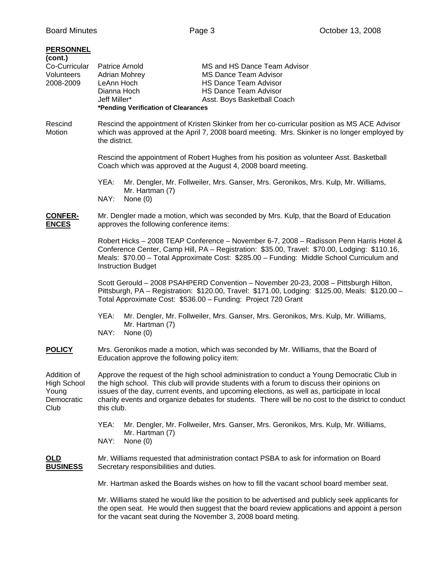## **PERSONNEL**

| <u>FERSUNNEL</u><br>(cont.)                                      |                                                                                                                                                                                                                                                                                                                                                                                                              |
|------------------------------------------------------------------|--------------------------------------------------------------------------------------------------------------------------------------------------------------------------------------------------------------------------------------------------------------------------------------------------------------------------------------------------------------------------------------------------------------|
| Co-Curricular<br>Volunteers<br>2008-2009                         | Patrice Arnold<br>MS and HS Dance Team Advisor<br><b>Adrian Mohrey</b><br><b>MS Dance Team Advisor</b><br>LeAnn Hoch<br><b>HS Dance Team Advisor</b><br>Dianna Hoch<br><b>HS Dance Team Advisor</b><br>Jeff Miller*<br>Asst. Boys Basketball Coach<br>*Pending Verification of Clearances                                                                                                                    |
| Rescind<br>Motion                                                | Rescind the appointment of Kristen Skinker from her co-curricular position as MS ACE Advisor<br>which was approved at the April 7, 2008 board meeting. Mrs. Skinker is no longer employed by<br>the district.                                                                                                                                                                                                |
|                                                                  | Rescind the appointment of Robert Hughes from his position as volunteer Asst. Basketball<br>Coach which was approved at the August 4, 2008 board meeting.                                                                                                                                                                                                                                                    |
|                                                                  | YEA:<br>Mr. Dengler, Mr. Follweiler, Mrs. Ganser, Mrs. Geronikos, Mrs. Kulp, Mr. Williams,<br>Mr. Hartman (7)<br>NAY:<br>None $(0)$                                                                                                                                                                                                                                                                          |
| <b>CONFER-</b><br><b>ENCES</b>                                   | Mr. Dengler made a motion, which was seconded by Mrs. Kulp, that the Board of Education<br>approves the following conference items:                                                                                                                                                                                                                                                                          |
|                                                                  | Robert Hicks - 2008 TEAP Conference - November 6-7, 2008 - Radisson Penn Harris Hotel &<br>Conference Center, Camp Hill, PA - Registration: \$35.00, Travel: \$70.00, Lodging: \$110.16,<br>Meals: \$70.00 - Total Approximate Cost: \$285.00 - Funding: Middle School Curriculum and<br><b>Instruction Budget</b>                                                                                           |
|                                                                  | Scott Gerould - 2008 PSAHPERD Convention - November 20-23, 2008 - Pittsburgh Hilton,<br>Pittsburgh, PA - Registration: \$120.00, Travel: \$171.00, Lodging: \$125.00, Meals: \$120.00 -<br>Total Approximate Cost: \$536.00 - Funding: Project 720 Grant                                                                                                                                                     |
|                                                                  | Mr. Dengler, Mr. Follweiler, Mrs. Ganser, Mrs. Geronikos, Mrs. Kulp, Mr. Williams,<br>YEA:<br>Mr. Hartman (7)<br>NAY:<br>None $(0)$                                                                                                                                                                                                                                                                          |
| <b>POLICY</b>                                                    | Mrs. Geronikos made a motion, which was seconded by Mr. Williams, that the Board of<br>Education approve the following policy item:                                                                                                                                                                                                                                                                          |
| Addition of<br><b>High School</b><br>Young<br>Democratic<br>Club | Approve the request of the high school administration to conduct a Young Democratic Club in<br>the high school. This club will provide students with a forum to discuss their opinions on<br>issues of the day, current events, and upcoming elections, as well as, participate in local<br>charity events and organize debates for students. There will be no cost to the district to conduct<br>this club. |
|                                                                  | Mr. Dengler, Mr. Follweiler, Mrs. Ganser, Mrs. Geronikos, Mrs. Kulp, Mr. Williams,<br>YEA:<br>Mr. Hartman (7)<br>NAY:<br>None $(0)$                                                                                                                                                                                                                                                                          |
| <b>OLD</b><br><b>BUSINESS</b>                                    | Mr. Williams requested that administration contact PSBA to ask for information on Board<br>Secretary responsibilities and duties.                                                                                                                                                                                                                                                                            |
|                                                                  | Mr. Hartman asked the Boards wishes on how to fill the vacant school board member seat.                                                                                                                                                                                                                                                                                                                      |
|                                                                  | Mr. Williams stated he would like the position to be advertised and publicly seek applicants for<br>the open seat. He would then suggest that the board review applications and appoint a person<br>for the vacant seat during the November 3, 2008 board meting.                                                                                                                                            |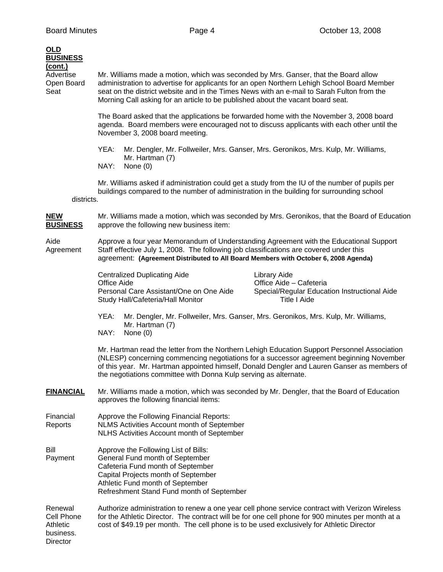| <b>OLD</b><br><b>BUSINESS</b>                              |                                                                                                                                                                                                                                                                                                                                                                    |
|------------------------------------------------------------|--------------------------------------------------------------------------------------------------------------------------------------------------------------------------------------------------------------------------------------------------------------------------------------------------------------------------------------------------------------------|
| (cont.)<br>Advertise<br>Open Board<br>Seat                 | Mr. Williams made a motion, which was seconded by Mrs. Ganser, that the Board allow<br>administration to advertise for applicants for an open Northern Lehigh School Board Member<br>seat on the district website and in the Times News with an e-mail to Sarah Fulton from the<br>Morning Call asking for an article to be published about the vacant board seat. |
|                                                            | The Board asked that the applications be forwarded home with the November 3, 2008 board<br>agenda. Board members were encouraged not to discuss applicants with each other until the<br>November 3, 2008 board meeting.                                                                                                                                            |
|                                                            | YEA:<br>Mr. Dengler, Mr. Follweiler, Mrs. Ganser, Mrs. Geronikos, Mrs. Kulp, Mr. Williams,<br>Mr. Hartman (7)<br>NAY:<br>None $(0)$                                                                                                                                                                                                                                |
| districts.                                                 | Mr. Williams asked if administration could get a study from the IU of the number of pupils per<br>buildings compared to the number of administration in the building for surrounding school                                                                                                                                                                        |
| <b>NEW</b><br><b>BUSINESS</b>                              | Mr. Williams made a motion, which was seconded by Mrs. Geronikos, that the Board of Education<br>approve the following new business item:                                                                                                                                                                                                                          |
| Aide<br>Agreement                                          | Approve a four year Memorandum of Understanding Agreement with the Educational Support<br>Staff effective July 1, 2008. The following job classifications are covered under this<br>agreement: (Agreement Distributed to All Board Members with October 6, 2008 Agenda)                                                                                            |
|                                                            | <b>Centralized Duplicating Aide</b><br>Library Aide<br>Office Aide - Cafeteria<br>Office Aide<br>Personal Care Assistant/One on One Aide<br>Special/Regular Education Instructional Aide<br><b>Title I Aide</b><br>Study Hall/Cafeteria/Hall Monitor                                                                                                               |
|                                                            | YEA:<br>Mr. Dengler, Mr. Follweiler, Mrs. Ganser, Mrs. Geronikos, Mrs. Kulp, Mr. Williams,<br>Mr. Hartman (7)<br>NAY:<br>None (0)                                                                                                                                                                                                                                  |
|                                                            | Mr. Hartman read the letter from the Northern Lehigh Education Support Personnel Association<br>(NLESP) concerning commencing negotiations for a successor agreement beginning November<br>of this year. Mr. Hartman appointed himself, Donald Dengler and Lauren Ganser as members of<br>the negotiations committee with Donna Kulp serving as alternate.         |
| <b>FINANCIAL</b>                                           | Mr. Williams made a motion, which was seconded by Mr. Dengler, that the Board of Education<br>approves the following financial items:                                                                                                                                                                                                                              |
| Financial<br>Reports                                       | Approve the Following Financial Reports:<br>NLMS Activities Account month of September<br>NLHS Activities Account month of September                                                                                                                                                                                                                               |
| Bill<br>Payment                                            | Approve the Following List of Bills:<br>General Fund month of September<br>Cafeteria Fund month of September<br>Capital Projects month of September<br>Athletic Fund month of September<br>Refreshment Stand Fund month of September                                                                                                                               |
| Renewal<br>Cell Phone<br>Athletic<br>business.<br>Director | Authorize administration to renew a one year cell phone service contract with Verizon Wireless<br>for the Athletic Director. The contract will be for one cell phone for 900 minutes per month at a<br>cost of \$49.19 per month. The cell phone is to be used exclusively for Athletic Director                                                                   |